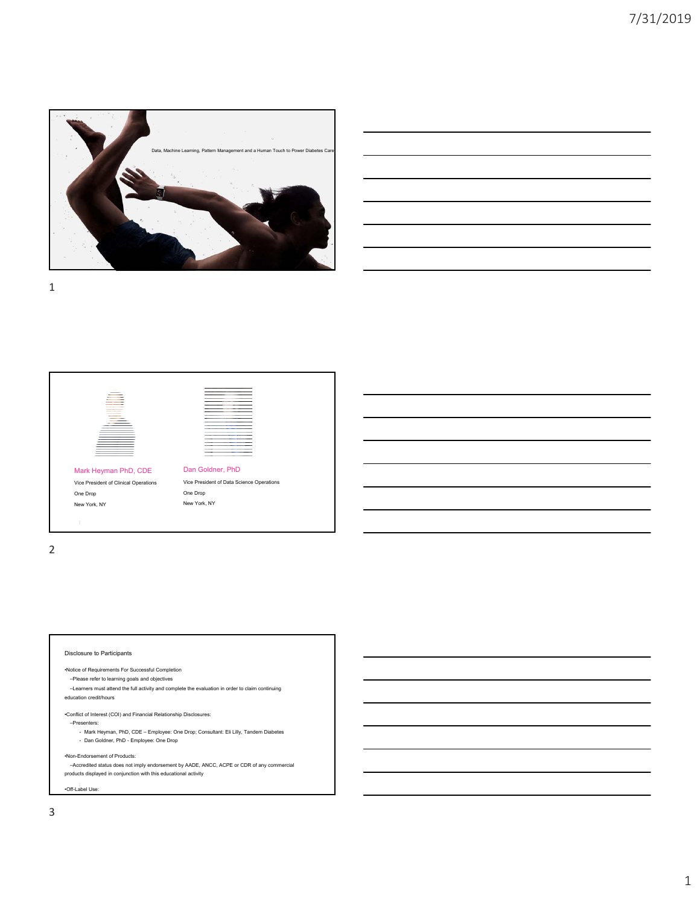

| <u> Andreas Andreas Andreas Andreas Andreas Andreas Andreas Andreas Andreas Andreas Andreas Andreas Andreas Andr</u> |                                                                                                                                                                       |  |  |
|----------------------------------------------------------------------------------------------------------------------|-----------------------------------------------------------------------------------------------------------------------------------------------------------------------|--|--|
|                                                                                                                      | ○ 1999年1月19日,1999年1月18日,1999年1月1日,1999年1月1日,1999年1月1日,1999年1月1日,1999年1月1日,1999年1月<br>1990年1月10日,1999年1月1日,1999年1月1日,1999年1月1日,1999年1月1日,1999年1月1日,1999年1月1日,1999年1月1日 |  |  |
|                                                                                                                      |                                                                                                                                                                       |  |  |
|                                                                                                                      | <u> 1989 - Andrea Santana, amerikana amerikana amerikana amerikana amerikana amerikana amerikana amerikana amerik</u>                                                 |  |  |
|                                                                                                                      |                                                                                                                                                                       |  |  |



2

## Disclosure to Participants •Notice of Requirements For Successful Completion –Please refer to learning goals and objectives –Learners must attend the full activity and complete the evaluation in order to claim continuing education credit/hours •Conflict of Interest (COI) and Financial Relationship Disclosures: –Presenters: • Mark Heyman, PhD, CDE – Employee: One Drop; Consultant: Eli Lilly, Tandem Diabetes • Dan Goldner, PhD - Employee: One Drop •Non-Endorsement of Products: –Accredited status does not imply endorsement by AADE, ANCC, ACPE or CDR of any commercial products displayed in conjunction with this educational activity

•Off-Label Use: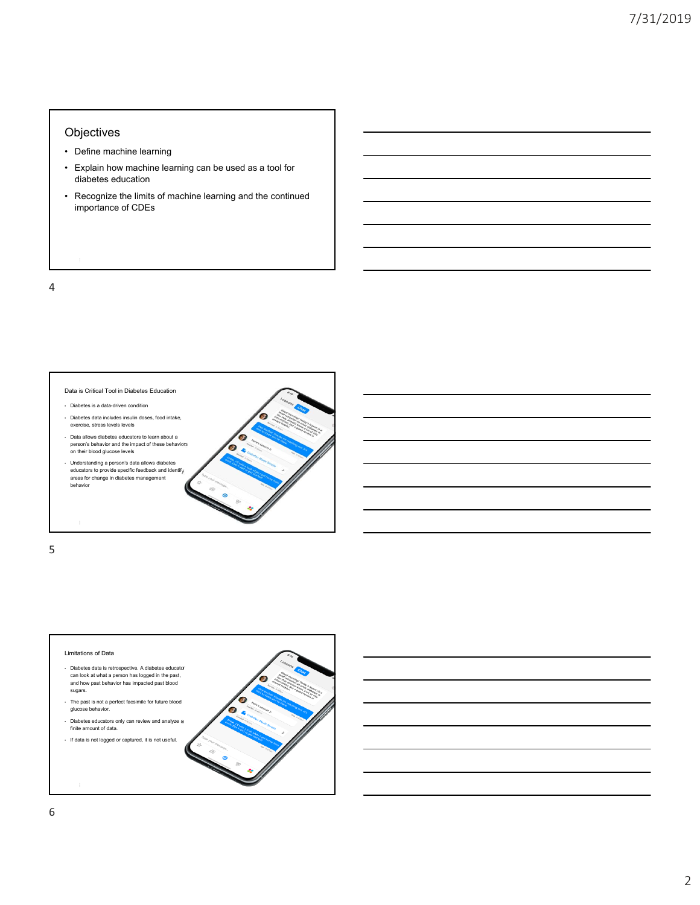## **Objectives**

- Define machine learning
- Explain how machine learning can be used as a tool for diabetes education
- Recognize the limits of machine learning and the continued importance of CDEs

4



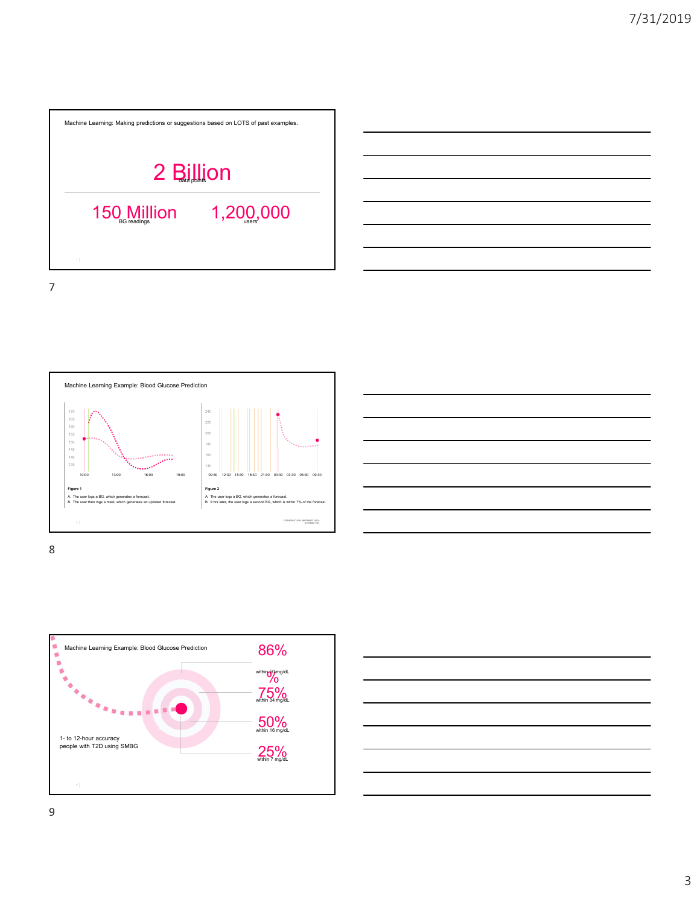





8



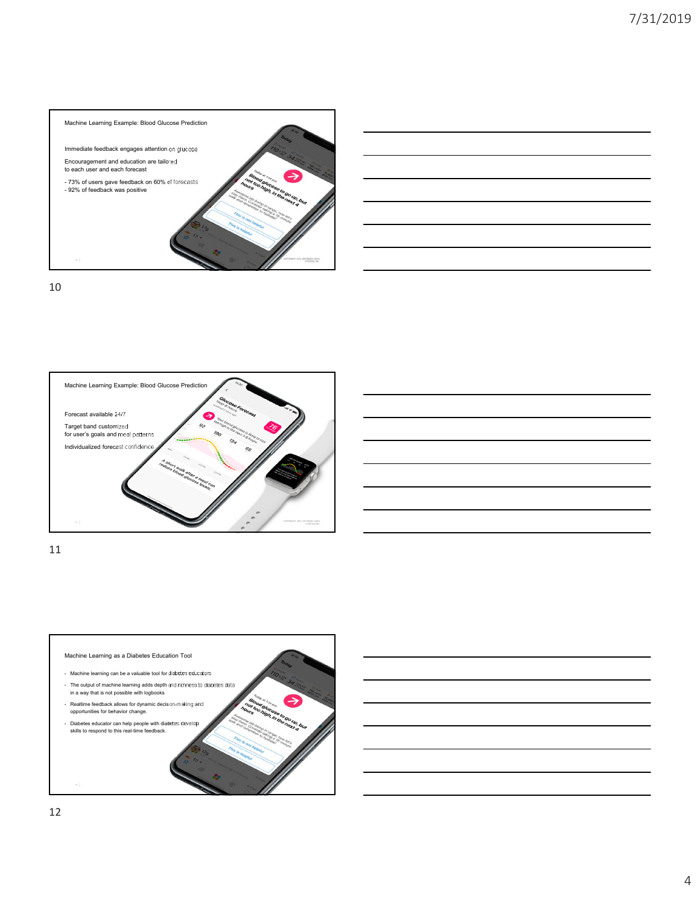

| <u> 1989 - Johann Harry Harry Harry Harry Harry Harry Harry Harry Harry Harry Harry Harry Harry Harry Harry Harry</u> |  |                                               |
|-----------------------------------------------------------------------------------------------------------------------|--|-----------------------------------------------|
|                                                                                                                       |  |                                               |
|                                                                                                                       |  |                                               |
|                                                                                                                       |  |                                               |
|                                                                                                                       |  | $\overline{\phantom{a}}$                      |
|                                                                                                                       |  |                                               |
|                                                                                                                       |  |                                               |
|                                                                                                                       |  |                                               |
|                                                                                                                       |  | <u> 1989 - Andrea Andrew Maria (h. 1989).</u> |
|                                                                                                                       |  |                                               |
|                                                                                                                       |  | $\overline{\phantom{iiiiiiiiiiiii}}$          |
|                                                                                                                       |  |                                               |
|                                                                                                                       |  |                                               |

10





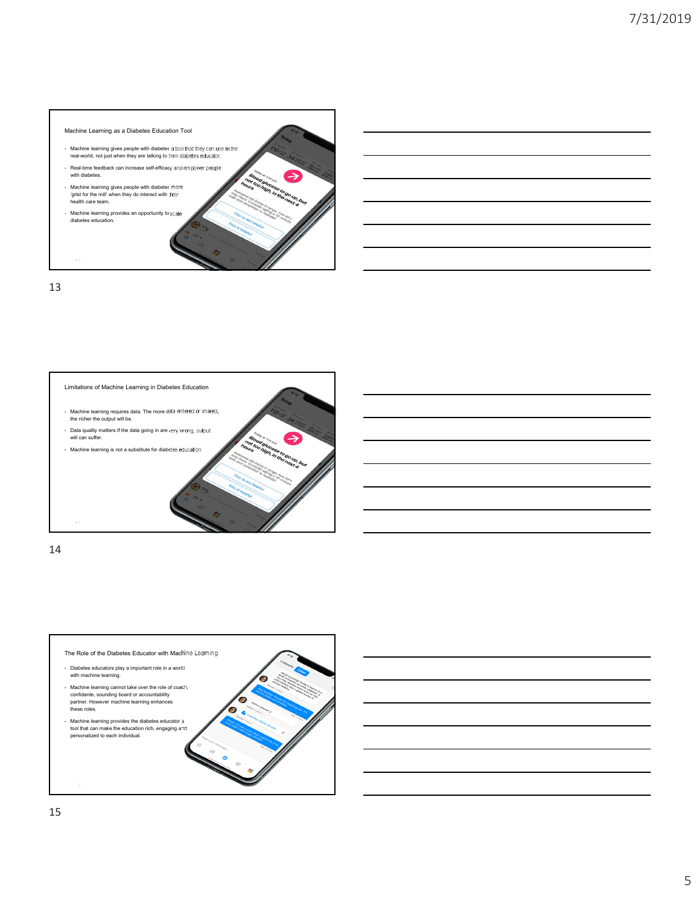



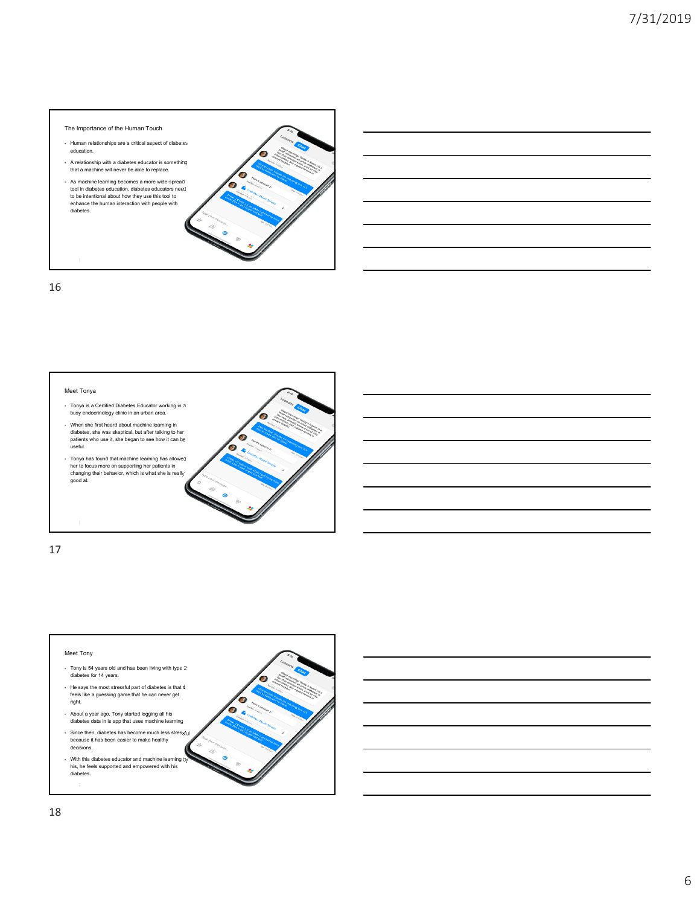



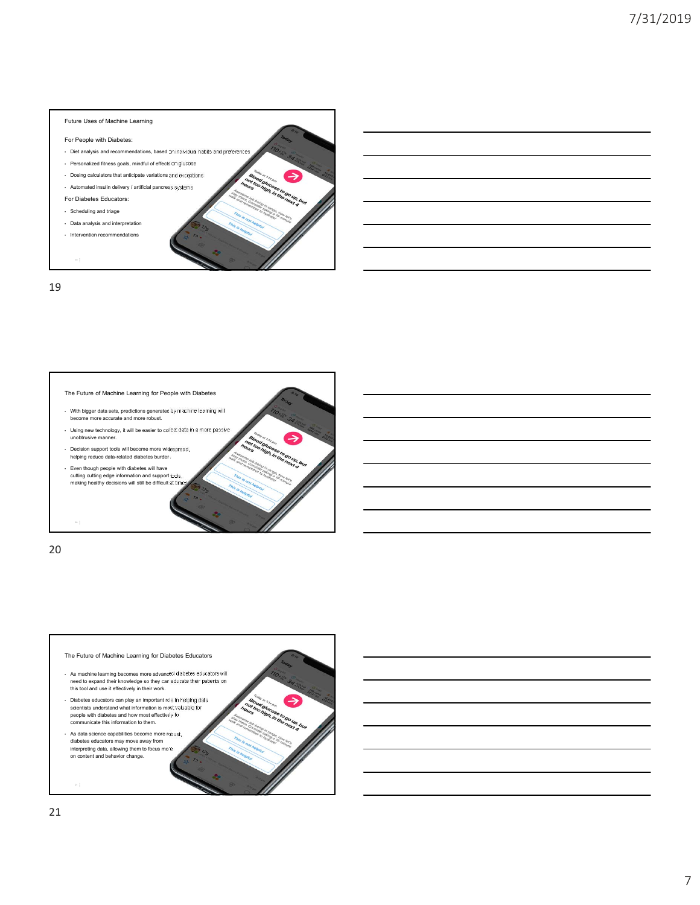